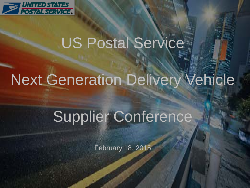

# US Postal Service

# Next Generation Delivery Vehicle

# Supplier Conference

February 18, 2015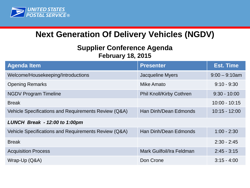

## **Next Generation Of Delivery Vehicles (NGDV)**

### **Supplier Conference Agenda February 18, 2015**

| <b>Agenda Item</b>                                   | <b>Presenter</b>                | <b>Est. Time</b> |
|------------------------------------------------------|---------------------------------|------------------|
| Welcome/Housekeeping/Introductions                   | <b>Jacqueline Myers</b>         | $9:00 - 9:10$ am |
| <b>Opening Remarks</b>                               | Mike Amato                      | $9:10 - 9:30$    |
| <b>NGDV Program Timeline</b>                         | <b>Phil Knoll/Kirby Cothren</b> | $9:30 - 10:00$   |
| <b>Break</b>                                         |                                 | $10:00 - 10:15$  |
| Vehicle Specifications and Requirements Review (Q&A) | Han Dinh/Dean Edmonds           | $10:15 - 12:00$  |
| LUNCH Break - 12:00 to 1:00pm                        |                                 |                  |
| Vehicle Specifications and Requirements Review (Q&A) | Han Dinh/Dean Edmonds           | $1:00 - 2:30$    |
| <b>Break</b>                                         |                                 | $2:30 - 2:45$    |
| <b>Acquisition Process</b>                           | Mark Guilfoil/Ira Feldman       | $2:45 - 3:15$    |
| Wrap-Up (Q&A)                                        | Don Crone                       | $3:15 - 4:00$    |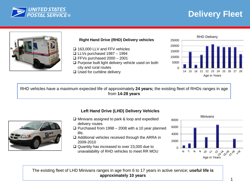

# **Delivery Fleet**



#### **Right Hand Drive (RHD) Delivery vehicles**

- □ 163,000 LLV and FFV vehicles
- $\Box$  LLVs purchased 1987 1994
- $\Box$  FFVs purchased 2000 2001
- $\Box$  Purpose built light delivery vehicle used on both city and rural routes
- □ Used for curbline delivery



RHD vehicles have a maximum expected life of approximately **24 years;** the existing fleet of RHDs ranges in age from **14-28 years**



#### **Left Hand Drive (LHD) Delivery Vehicles**

- $\Box$  Minivans assigned to park & loop and expedited delivery routes
- $\Box$  Purchased from 1998 2008 with a 10 year planned life.
- $\Box$  Additional vehicles received through the ARRA in 2009-2010
- $\Box$  Quantity has increased to over 23,000 due to unavailability of RHD vehicles to meet RR MOU



The existing fleet of LHD Minivans ranges in age from 6 to 17 years in active service; **useful life is approximately 10 years**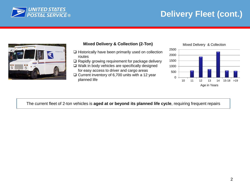

# **BUNITED STATES**<br> **POSTAL SERVICE®**<br> **Delivery Fleet (cont.)**



#### **Mixed Delivery & Collection (2-Ton)** Mixed Delivery & Collection

- $\Box$  Historically have been primarily used on collection routes
- $\Box$  Rapidly growing requirement for package delivery
- $\Box$  Walk in body vehicles are specifically designed for easy access to driver and cargo areas
- $\Box$  Current inventory of 6,700 units with a 12 year planned life



Age in Years

The current fleet of 2-ton vehicles is **aged at or beyond its planned life cycle**, requiring frequent repairs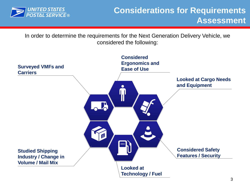

In order to determine the requirements for the Next Generation Delivery Vehicle, we considered the following:

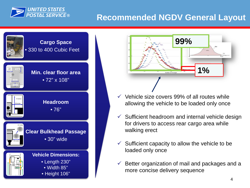

## **Recommended NGDV General Layout**





- $\checkmark$  Vehicle size covers 99% of all routes while allowing the vehicle to be loaded only once
- $\checkmark$  Sufficient headroom and internal vehicle design for drivers to access rear cargo area while walking erect
- $\checkmark$  Sufficient capacity to allow the vehicle to be loaded only once
- $\checkmark$  Better organization of mail and packages and a more concise delivery sequence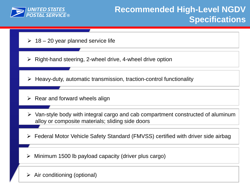

- $\geq 18 20$  year planned service life
- $\triangleright$  Right-hand steering, 2-wheel drive, 4-wheel drive option
- $\triangleright$  Heavy-duty, automatic transmission, traction-control functionality
- $\triangleright$  Rear and forward wheels align
- $\triangleright$  Van-style body with integral cargo and cab compartment constructed of aluminum alloy or composite materials; sliding side doors
- Federal Motor Vehicle Safety Standard (FMVSS) certified with driver side airbag
- Minimum 1500 lb payload capacity (driver plus cargo)
- $\triangleright$  Air conditioning (optional)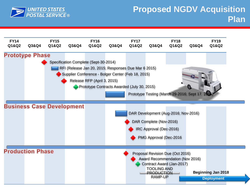

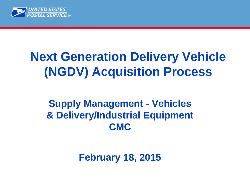

# **Next Generation Delivery Vehicle (NGDV) Acquisition Process**

# **Supply Management - Vehicles & Delivery/Industrial Equipment CMC**

**February 18, 2015**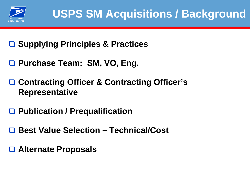

- **Supplying Principles & Practices**
- **Purchase Team: SM, VO, Eng.**
- **Contracting Officer & Contracting Officer's Representative**
- **Publication / Prequalification**
- **Best Value Selection – Technical/Cost**
- **Alternate Proposals**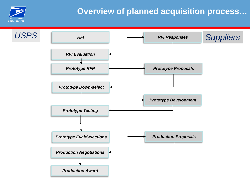

# **Overview of planned acquisition process…**

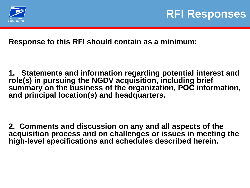

**Response to this RFI should contain as a minimum:**

**1. Statements and information regarding potential interest and role(s) in pursuing the NGDV acquisition, including brief summary on the business of the organization, POC information, and principal location(s) and headquarters.**

**2. Comments and discussion on any and all aspects of the acquisition process and on challenges or issues in meeting the high-level specifications and schedules described herein.**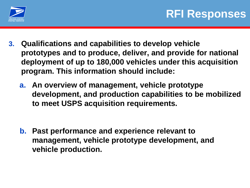

- **3. Qualifications and capabilities to develop vehicle prototypes and to produce, deliver, and provide for national deployment of up to 180,000 vehicles under this acquisition program. This information should include:**
	- **a. An overview of management, vehicle prototype development, and production capabilities to be mobilized to meet USPS acquisition requirements.**

**b. Past performance and experience relevant to management, vehicle prototype development, and vehicle production.**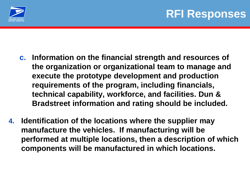

- **c. Information on the financial strength and resources of the organization or organizational team to manage and execute the prototype development and production requirements of the program, including financials, technical capability, workforce, and facilities. Dun & Bradstreet information and rating should be included.**
- **4. Identification of the locations where the supplier may manufacture the vehicles. If manufacturing will be performed at multiple locations, then a description of which components will be manufactured in which locations.**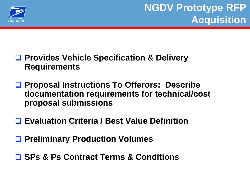

- **Provides Vehicle Specification & Delivery Requirements**
- **Proposal Instructions To Offerors: Describe documentation requirements for technical/cost proposal submissions**
- **Evaluation Criteria / Best Value Definition**
- **Preliminary Production Volumes**
- **SPs & Ps Contract Terms & Conditions**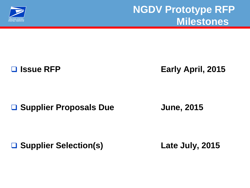

**Issue RFP Early April, 2015**

■ Supplier Proposals Due **June, 2015** 

**Supplier Selection(s) Late July, 2015**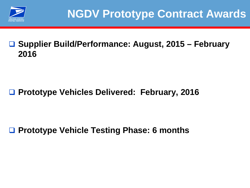

# **Supplier Build/Performance: August, 2015 – February 2016**

# **Prototype Vehicles Delivered: February, 2016**

**Prototype Vehicle Testing Phase: 6 months**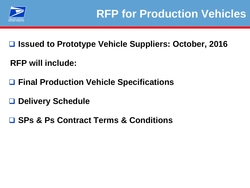

**Issued to Prototype Vehicle Suppliers: October, 2016** 

**RFP will include:**

**Final Production Vehicle Specifications**

**Delivery Schedule**

**SPs & Ps Contract Terms & Conditions**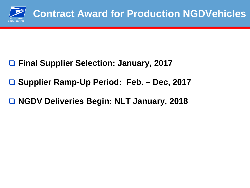

- **Final Supplier Selection: January, 2017**
- **Supplier Ramp-Up Period: Feb. – Dec, 2017**
- **NGDV Deliveries Begin: NLT January, 2018**